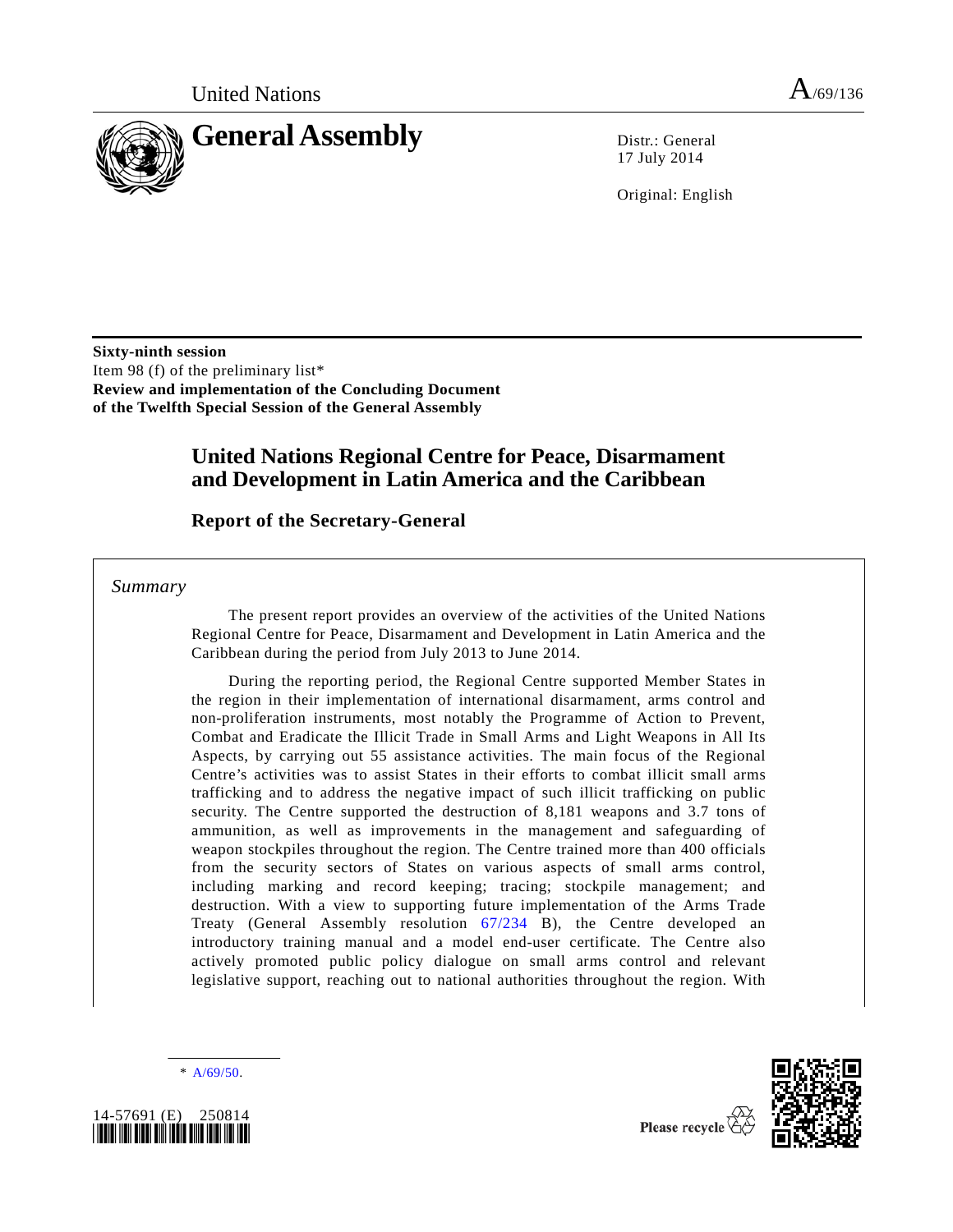

17 July 2014

Original: English

**Sixty-ninth session** Item 98 (f) of the preliminary list\* **Review and implementation of the Concluding Document of the Twelfth Special Session of the General Assembly**

# **United Nations Regional Centre for Peace, Disarmament and Development in Latin America and the Caribbean**

**Report of the Secretary-General**

*Summary*

The present report provides an overview of the activities of the United Nations Regional Centre for Peace, Disarmament and Development in Latin America and the Caribbean during the period from July 2013 to June 2014.

During the reporting period, the Regional Centre supported Member States in the region in their implementation of international disarmament, arms control and non-proliferation instruments, most notably the Programme of Action to Prevent, Combat and Eradicate the Illicit Trade in Small Arms and Light Weapons in All Its Aspects, by carrying out 55 assistance activities. The main focus of the Regional Centre's activities was to assist States in their efforts to combat illicit small arms trafficking and to address the negative impact of such illicit trafficking on public security. The Centre supported the destruction of 8,181 weapons and 3.7 tons of ammunition, as well as improvements in the management and safeguarding of weapon stockpiles throughout the region. The Centre trained more than 400 officials from the security sectors of States on various aspects of small arms control, including marking and record keeping; tracing; stockpile management; and destruction. With a view to supporting future implementation of the Arms Trade Treaty (General Assembly resolution [67/234](http://undocs.org/A/RES/67/234) B), the Centre developed an introductory training manual and a model end-user certificate. The Centre also actively promoted public policy dialogue on small arms control and relevant legislative support, reaching out to national authorities throughout the region. With

\* [A/69/50.](http://undocs.org/A/69/50)

<span id="page-0-0"></span>

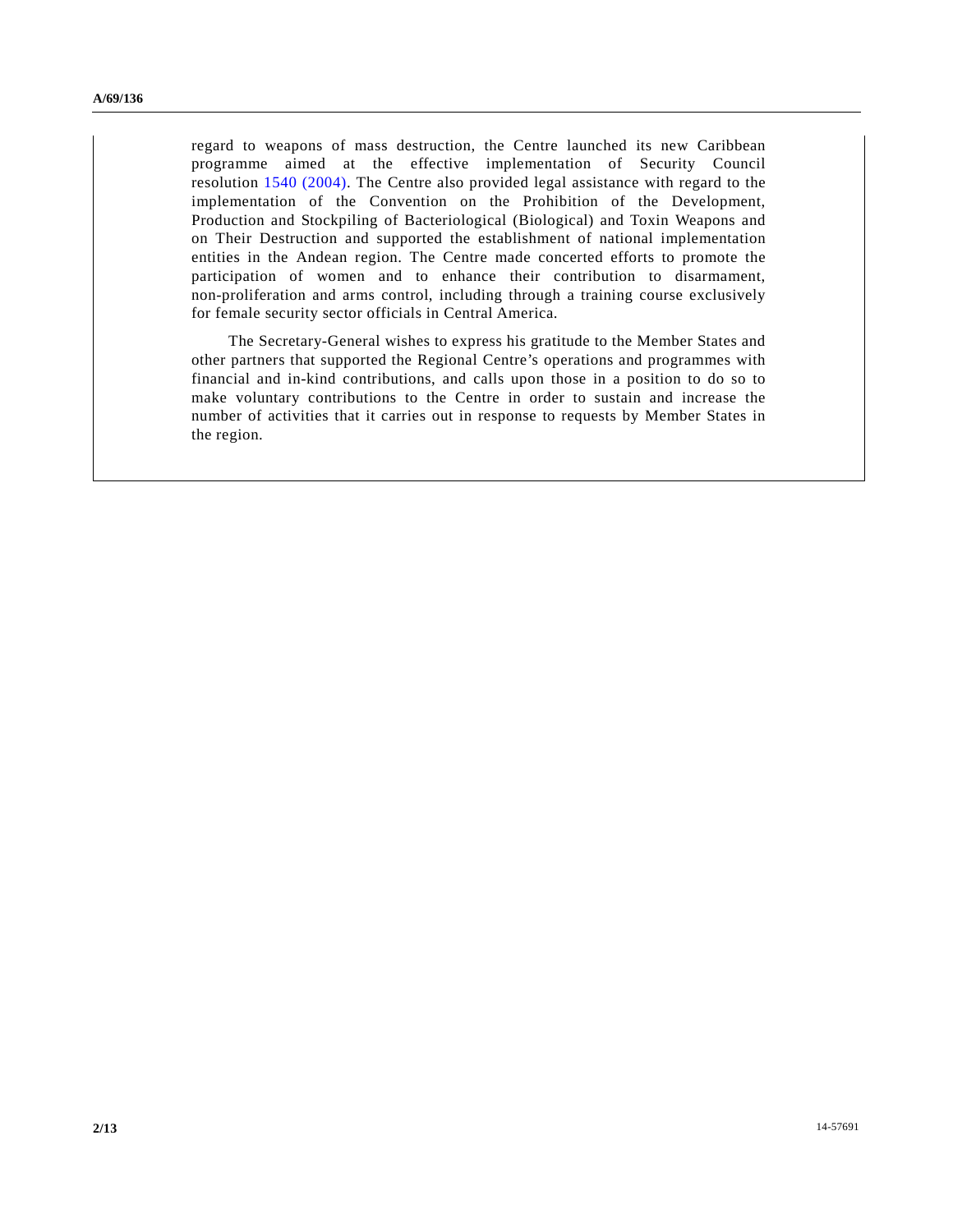regard to weapons of mass destruction, the Centre launched its new Caribbean programme aimed at the effective implementation of Security Council resolution [1540 \(2004\).](http://undocs.org/S/RES/1540(2004)) The Centre also provided legal assistance with regard to the implementation of the Convention on the Prohibition of the Development, Production and Stockpiling of Bacteriological (Biological) and Toxin Weapons and on Their Destruction and supported the establishment of national implementation entities in the Andean region. The Centre made concerted efforts to promote the participation of women and to enhance their contribution to disarmament, non-proliferation and arms control, including through a training course exclusively for female security sector officials in Central America.

The Secretary-General wishes to express his gratitude to the Member States and other partners that supported the Regional Centre's operations and programmes with financial and in-kind contributions, and calls upon those in a position to do so to make voluntary contributions to the Centre in order to sustain and increase the number of activities that it carries out in response to requests by Member States in the region.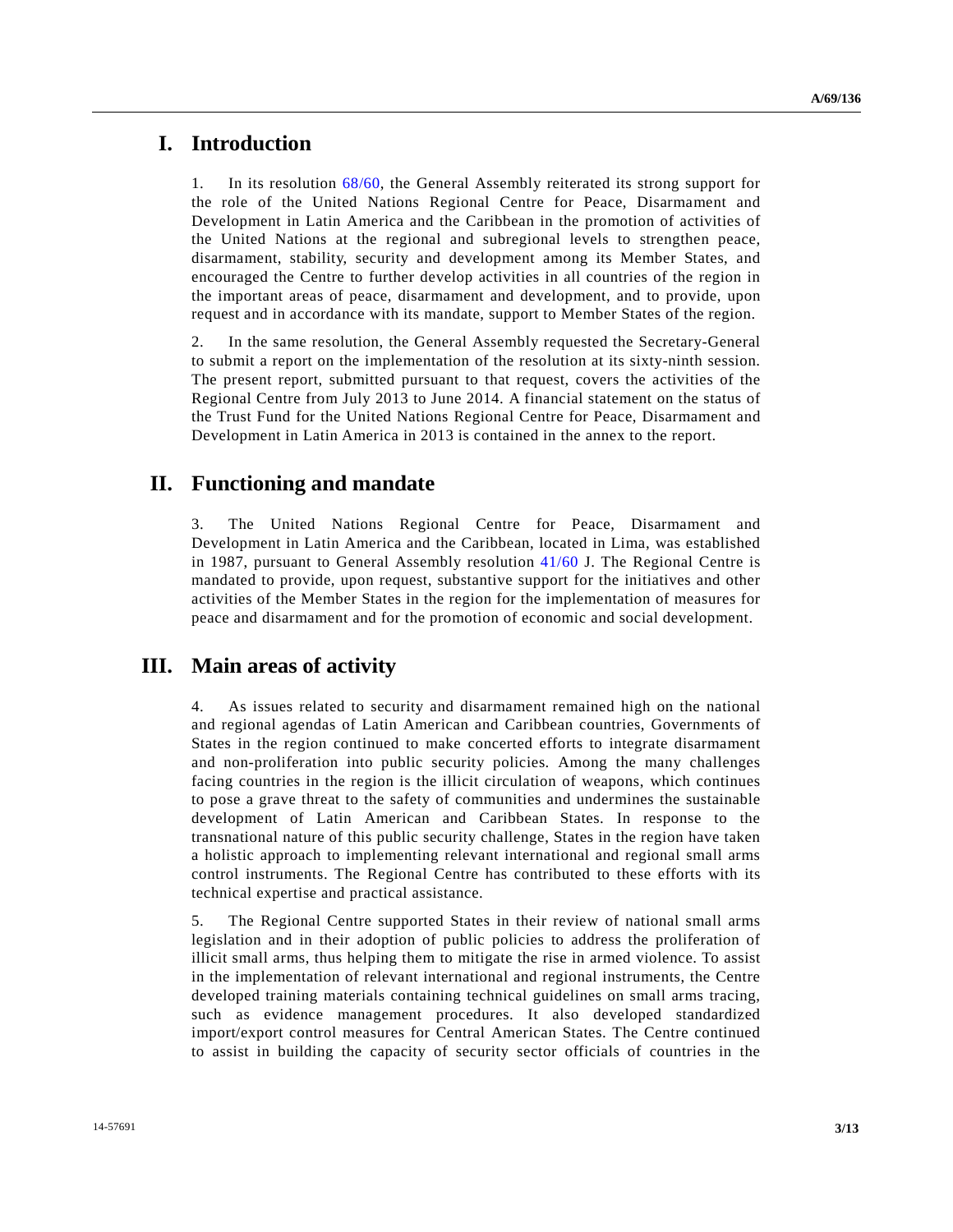# **I. Introduction**

1. In its resolution [68/60,](http://undocs.org/A/RES/68/60) the General Assembly reiterated its strong support for the role of the United Nations Regional Centre for Peace, Disarmament and Development in Latin America and the Caribbean in the promotion of activities of the United Nations at the regional and subregional levels to strengthen peace, disarmament, stability, security and development among its Member States, and encouraged the Centre to further develop activities in all countries of the region in the important areas of peace, disarmament and development, and to provide, upon request and in accordance with its mandate, support to Member States of the region.

2. In the same resolution, the General Assembly requested the Secretary-General to submit a report on the implementation of the resolution at its sixty-ninth session. The present report, submitted pursuant to that request, covers the activities of the Regional Centre from July 2013 to June 2014. A financial statement on the status of the Trust Fund for the United Nations Regional Centre for Peace, Disarmament and Development in Latin America in 2013 is contained in the annex to the report.

# **II. Functioning and mandate**

3. The United Nations Regional Centre for Peace, Disarmament and Development in Latin America and the Caribbean, located in Lima, was established in 1987, pursuant to General Assembly resolution [41/60](http://undocs.org/A/RES/41/60) J. The Regional Centre is mandated to provide, upon request, substantive support for the initiatives and other activities of the Member States in the region for the implementation of measures for peace and disarmament and for the promotion of economic and social development.

# **III. Main areas of activity**

4. As issues related to security and disarmament remained high on the national and regional agendas of Latin American and Caribbean countries, Governments of States in the region continued to make concerted efforts to integrate disarmament and non-proliferation into public security policies. Among the many challenges facing countries in the region is the illicit circulation of weapons, which continues to pose a grave threat to the safety of communities and undermines the sustainable development of Latin American and Caribbean States. In response to the transnational nature of this public security challenge, States in the region have taken a holistic approach to implementing relevant international and regional small arms control instruments. The Regional Centre has contributed to these efforts with its technical expertise and practical assistance.

5. The Regional Centre supported States in their review of national small arms legislation and in their adoption of public policies to address the proliferation of illicit small arms, thus helping them to mitigate the rise in armed violence. To assist in the implementation of relevant international and regional instruments, the Centre developed training materials containing technical guidelines on small arms tracing, such as evidence management procedures. It also developed standardized import/export control measures for Central American States. The Centre continued to assist in building the capacity of security sector officials of countries in the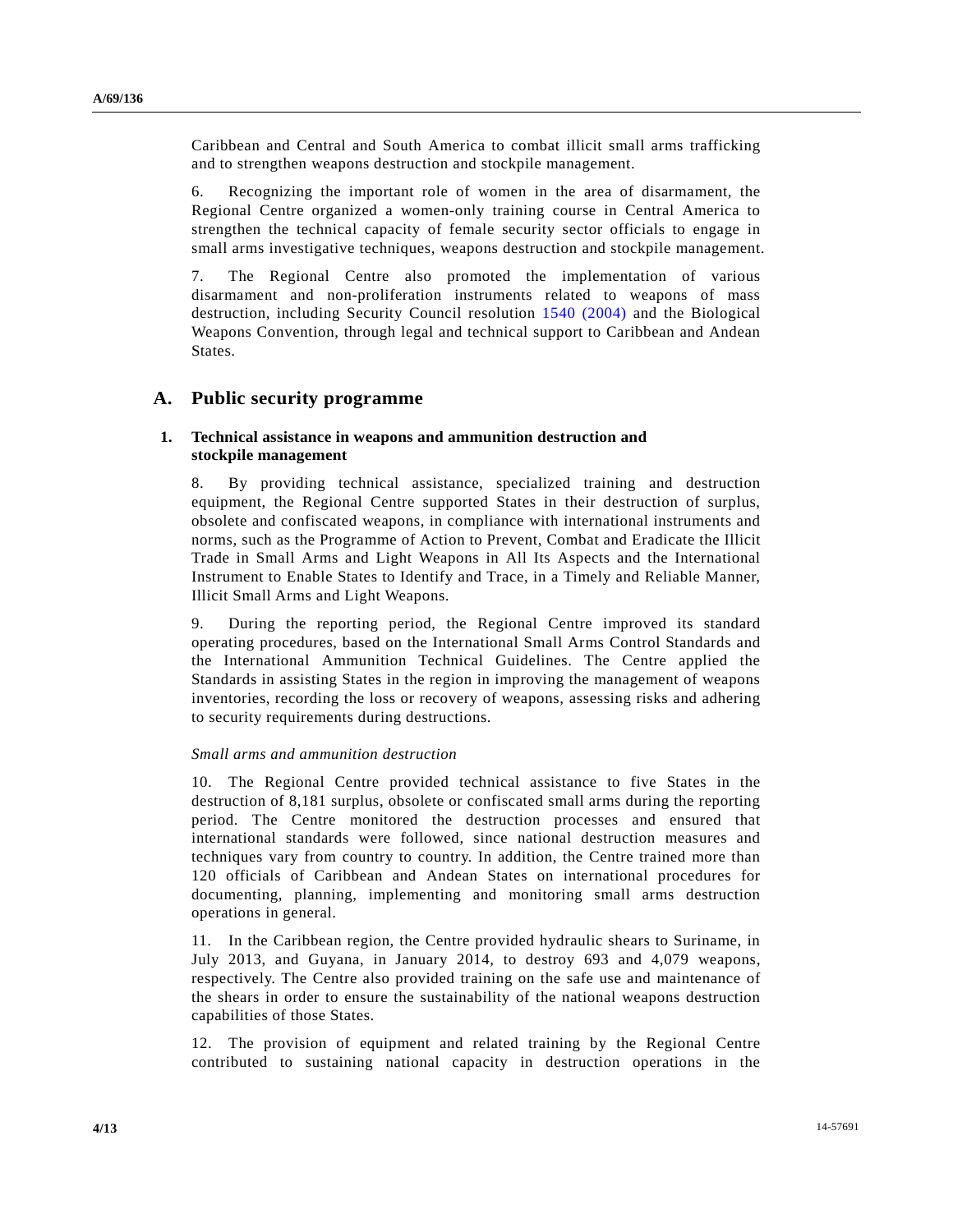Caribbean and Central and South America to combat illicit small arms trafficking and to strengthen weapons destruction and stockpile management.

6. Recognizing the important role of women in the area of disarmament, the Regional Centre organized a women-only training course in Central America to strengthen the technical capacity of female security sector officials to engage in small arms investigative techniques, weapons destruction and stockpile management.

7. The Regional Centre also promoted the implementation of various disarmament and non-proliferation instruments related to weapons of mass destruction, including Security Council resolution [1540 \(2004\)](http://undocs.org/S/RES/1540(2004)) and the Biological Weapons Convention, through legal and technical support to Caribbean and Andean States.

## **A. Public security programme**

### **1. Technical assistance in weapons and ammunition destruction and stockpile management**

8. By providing technical assistance, specialized training and destruction equipment, the Regional Centre supported States in their destruction of surplus, obsolete and confiscated weapons, in compliance with international instruments and norms, such as the Programme of Action to Prevent, Combat and Eradicate the Illicit Trade in Small Arms and Light Weapons in All Its Aspects and the International Instrument to Enable States to Identify and Trace, in a Timely and Reliable Manner, Illicit Small Arms and Light Weapons.

9. During the reporting period, the Regional Centre improved its standard operating procedures, based on the International Small Arms Control Standards and the International Ammunition Technical Guidelines. The Centre applied the Standards in assisting States in the region in improving the management of weapons inventories, recording the loss or recovery of weapons, assessing risks and adhering to security requirements during destructions.

### *Small arms and ammunition destruction*

10. The Regional Centre provided technical assistance to five States in the destruction of 8,181 surplus, obsolete or confiscated small arms during the reporting period. The Centre monitored the destruction processes and ensured that international standards were followed, since national destruction measures and techniques vary from country to country. In addition, the Centre trained more than 120 officials of Caribbean and Andean States on international procedures for documenting, planning, implementing and monitoring small arms destruction operations in general.

11. In the Caribbean region, the Centre provided hydraulic shears to Suriname, in July 2013, and Guyana, in January 2014, to destroy 693 and 4,079 weapons, respectively. The Centre also provided training on the safe use and maintenance of the shears in order to ensure the sustainability of the national weapons destruction capabilities of those States.

12. The provision of equipment and related training by the Regional Centre contributed to sustaining national capacity in destruction operations in the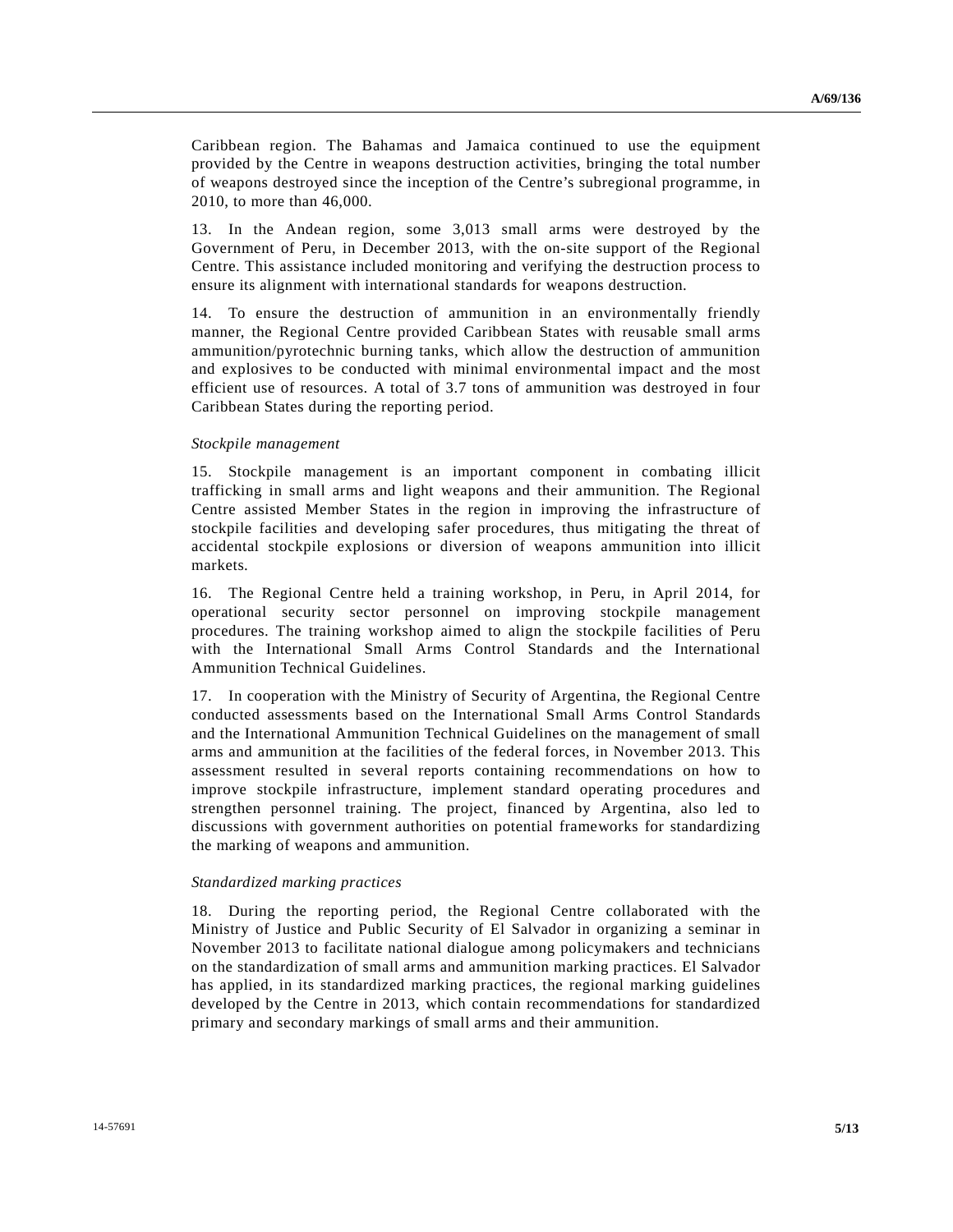Caribbean region. The Bahamas and Jamaica continued to use the equipment provided by the Centre in weapons destruction activities, bringing the total number of weapons destroyed since the inception of the Centre's subregional programme, in 2010, to more than 46,000.

13. In the Andean region, some 3,013 small arms were destroyed by the Government of Peru, in December 2013, with the on-site support of the Regional Centre. This assistance included monitoring and verifying the destruction process to ensure its alignment with international standards for weapons destruction.

14. To ensure the destruction of ammunition in an environmentally friendly manner, the Regional Centre provided Caribbean States with reusable small arms ammunition/pyrotechnic burning tanks, which allow the destruction of ammunition and explosives to be conducted with minimal environmental impact and the most efficient use of resources. A total of 3.7 tons of ammunition was destroyed in four Caribbean States during the reporting period.

### *Stockpile management*

15. Stockpile management is an important component in combating illicit trafficking in small arms and light weapons and their ammunition. The Regional Centre assisted Member States in the region in improving the infrastructure of stockpile facilities and developing safer procedures, thus mitigating the threat of accidental stockpile explosions or diversion of weapons ammunition into illicit markets.

16. The Regional Centre held a training workshop, in Peru, in April 2014, for operational security sector personnel on improving stockpile management procedures. The training workshop aimed to align the stockpile facilities of Peru with the International Small Arms Control Standards and the International Ammunition Technical Guidelines.

17. In cooperation with the Ministry of Security of Argentina, the Regional Centre conducted assessments based on the International Small Arms Control Standards and the International Ammunition Technical Guidelines on the management of small arms and ammunition at the facilities of the federal forces, in November 2013. This assessment resulted in several reports containing recommendations on how to improve stockpile infrastructure, implement standard operating procedures and strengthen personnel training. The project, financed by Argentina, also led to discussions with government authorities on potential frameworks for standardizing the marking of weapons and ammunition.

#### *Standardized marking practices*

18. During the reporting period, the Regional Centre collaborated with the Ministry of Justice and Public Security of El Salvador in organizing a seminar in November 2013 to facilitate national dialogue among policymakers and technicians on the standardization of small arms and ammunition marking practices. El Salvador has applied, in its standardized marking practices, the regional marking guidelines developed by the Centre in 2013, which contain recommendations for standardized primary and secondary markings of small arms and their ammunition.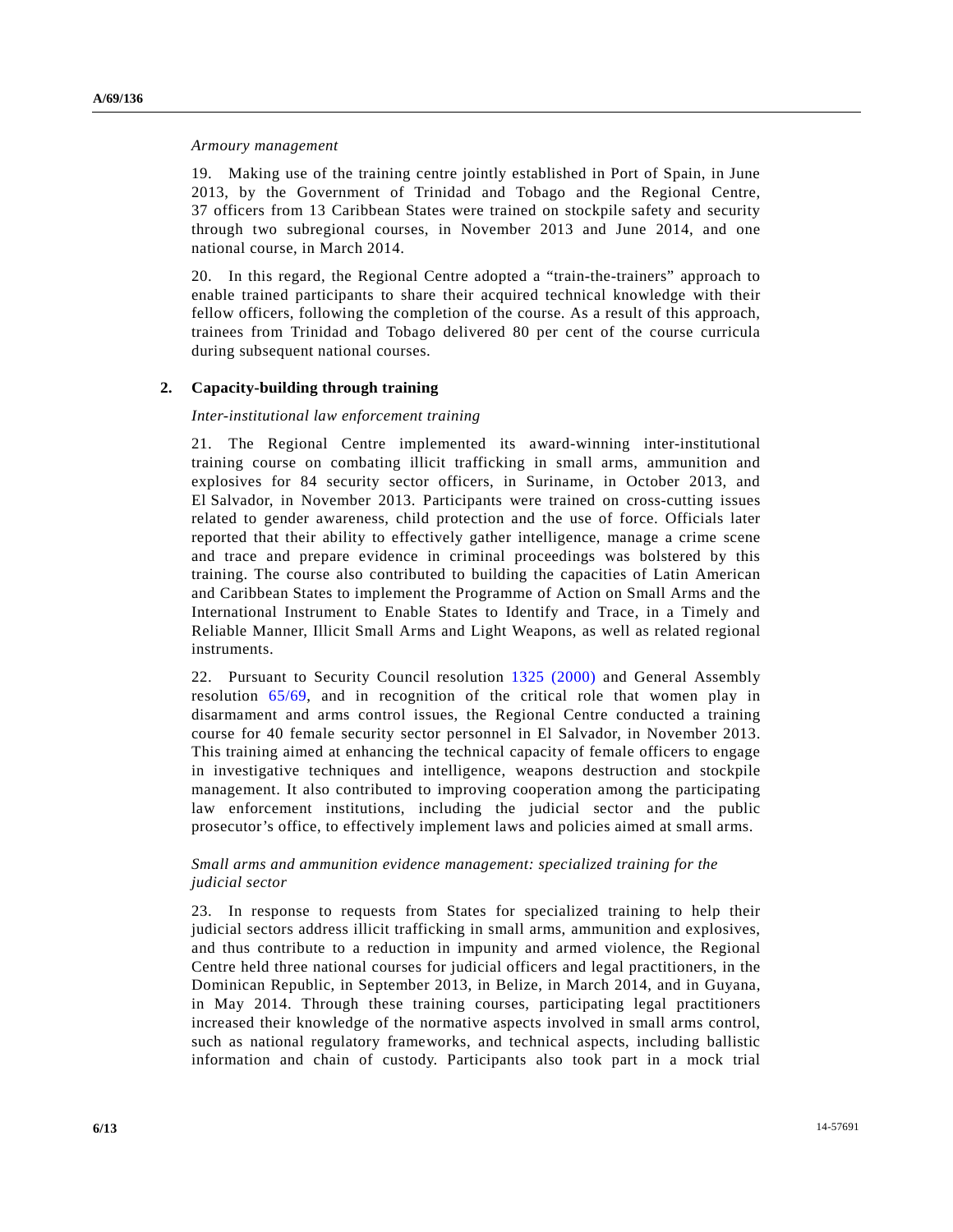#### *Armoury management*

19. Making use of the training centre jointly established in Port of Spain, in June 2013, by the Government of Trinidad and Tobago and the Regional Centre, 37 officers from 13 Caribbean States were trained on stockpile safety and security through two subregional courses, in November 2013 and June 2014, and one national course, in March 2014.

20. In this regard, the Regional Centre adopted a "train-the-trainers" approach to enable trained participants to share their acquired technical knowledge with their fellow officers, following the completion of the course. As a result of this approach, trainees from Trinidad and Tobago delivered 80 per cent of the course curricula during subsequent national courses.

## **2. Capacity-building through training**

### *Inter-institutional law enforcement training*

21. The Regional Centre implemented its award-winning inter-institutional training course on combating illicit trafficking in small arms, ammunition and explosives for 84 security sector officers, in Suriname, in October 2013, and El Salvador, in November 2013. Participants were trained on cross-cutting issues related to gender awareness, child protection and the use of force. Officials later reported that their ability to effectively gather intelligence, manage a crime scene and trace and prepare evidence in criminal proceedings was bolstered by this training. The course also contributed to building the capacities of Latin American and Caribbean States to implement the Programme of Action on Small Arms and the International Instrument to Enable States to Identify and Trace, in a Timely and Reliable Manner, Illicit Small Arms and Light Weapons, as well as related regional instruments.

22. Pursuant to Security Council resolution [1325 \(2000\)](http://undocs.org/S/RES/1325(2000)) and General Assembly resolution [65/69,](http://undocs.org/A/RES/65/69) and in recognition of the critical role that women play in disarmament and arms control issues, the Regional Centre conducted a training course for 40 female security sector personnel in El Salvador, in November 2013. This training aimed at enhancing the technical capacity of female officers to engage in investigative techniques and intelligence, weapons destruction and stockpile management. It also contributed to improving cooperation among the participating law enforcement institutions, including the judicial sector and the public prosecutor's office, to effectively implement laws and policies aimed at small arms.

## *Small arms and ammunition evidence management: specialized training for the judicial sector*

23. In response to requests from States for specialized training to help their judicial sectors address illicit trafficking in small arms, ammunition and explosives, and thus contribute to a reduction in impunity and armed violence, the Regional Centre held three national courses for judicial officers and legal practitioners, in the Dominican Republic, in September 2013, in Belize, in March 2014, and in Guyana, in May 2014. Through these training courses, participating legal practitioners increased their knowledge of the normative aspects involved in small arms control, such as national regulatory frameworks, and technical aspects, including ballistic information and chain of custody. Participants also took part in a mock trial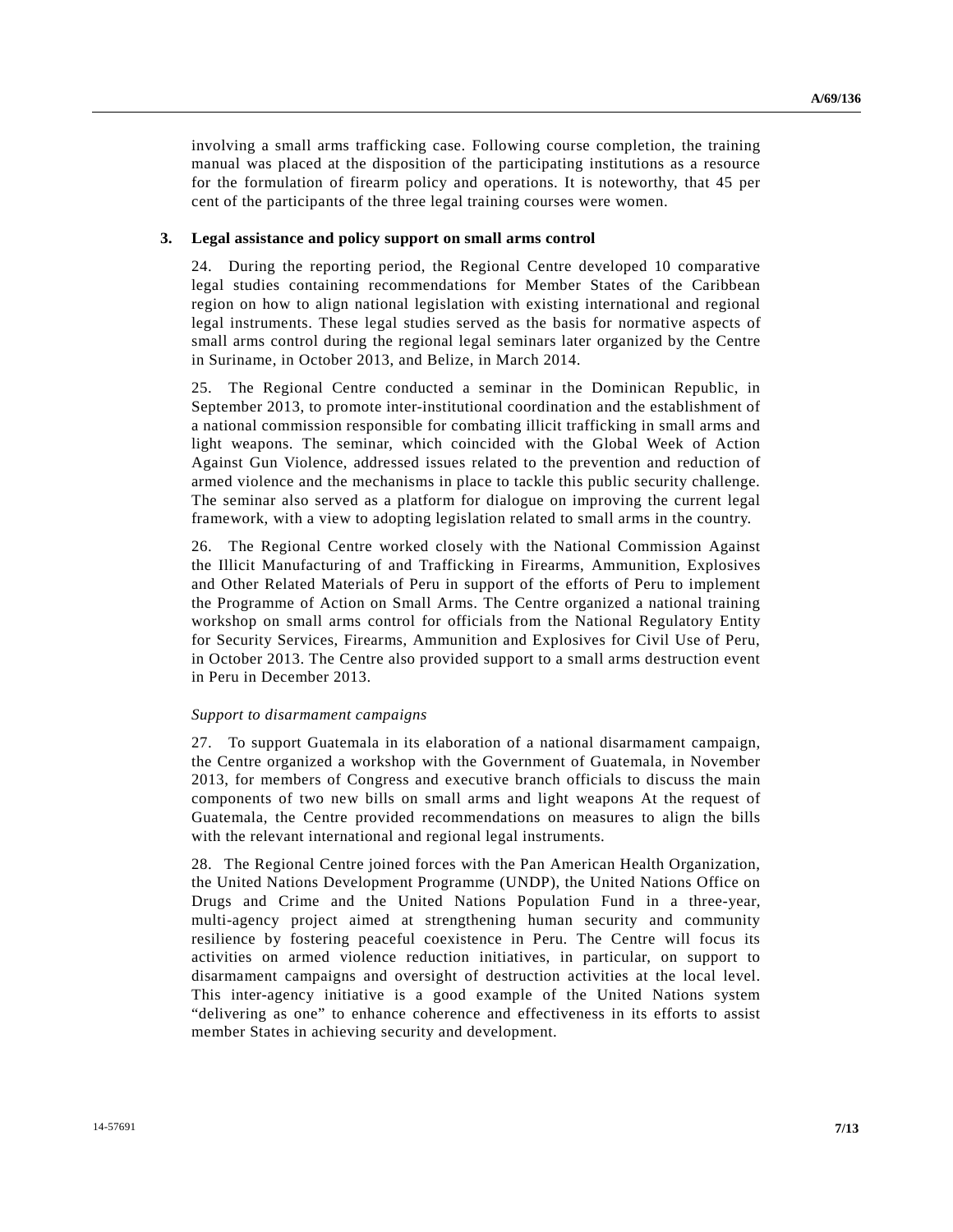involving a small arms trafficking case. Following course completion, the training manual was placed at the disposition of the participating institutions as a resource for the formulation of firearm policy and operations. It is noteworthy, that 45 per cent of the participants of the three legal training courses were women.

#### **3. Legal assistance and policy support on small arms control**

24. During the reporting period, the Regional Centre developed 10 comparative legal studies containing recommendations for Member States of the Caribbean region on how to align national legislation with existing international and regional legal instruments. These legal studies served as the basis for normative aspects of small arms control during the regional legal seminars later organized by the Centre in Suriname, in October 2013, and Belize, in March 2014.

25. The Regional Centre conducted a seminar in the Dominican Republic, in September 2013, to promote inter-institutional coordination and the establishment of a national commission responsible for combating illicit trafficking in small arms and light weapons. The seminar, which coincided with the Global Week of Action Against Gun Violence, addressed issues related to the prevention and reduction of armed violence and the mechanisms in place to tackle this public security challenge. The seminar also served as a platform for dialogue on improving the current legal framework, with a view to adopting legislation related to small arms in the country.

26. The Regional Centre worked closely with the National Commission Against the Illicit Manufacturing of and Trafficking in Firearms, Ammunition, Explosives and Other Related Materials of Peru in support of the efforts of Peru to implement the Programme of Action on Small Arms. The Centre organized a national training workshop on small arms control for officials from the National Regulatory Entity for Security Services, Firearms, Ammunition and Explosives for Civil Use of Peru, in October 2013. The Centre also provided support to a small arms destruction event in Peru in December 2013.

#### *Support to disarmament campaigns*

27. To support Guatemala in its elaboration of a national disarmament campaign, the Centre organized a workshop with the Government of Guatemala, in November 2013, for members of Congress and executive branch officials to discuss the main components of two new bills on small arms and light weapons At the request of Guatemala, the Centre provided recommendations on measures to align the bills with the relevant international and regional legal instruments.

28. The Regional Centre joined forces with the Pan American Health Organization, the United Nations Development Programme (UNDP), the United Nations Office on Drugs and Crime and the United Nations Population Fund in a three-year, multi-agency project aimed at strengthening human security and community resilience by fostering peaceful coexistence in Peru. The Centre will focus its activities on armed violence reduction initiatives, in particular, on support to disarmament campaigns and oversight of destruction activities at the local level. This inter-agency initiative is a good example of the United Nations system "delivering as one" to enhance coherence and effectiveness in its efforts to assist member States in achieving security and development.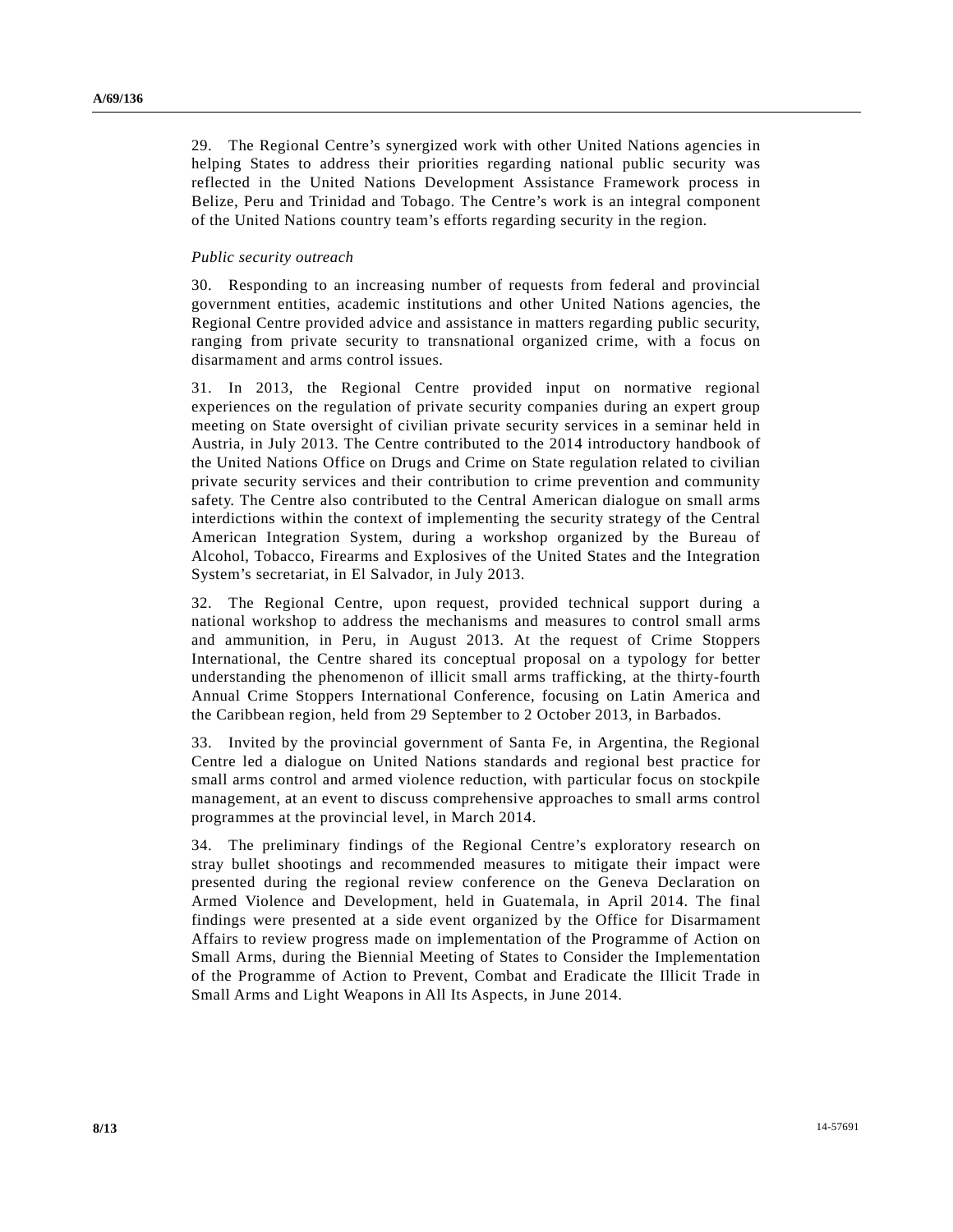29. The Regional Centre's synergized work with other United Nations agencies in helping States to address their priorities regarding national public security was reflected in the United Nations Development Assistance Framework process in Belize, Peru and Trinidad and Tobago. The Centre's work is an integral component of the United Nations country team's efforts regarding security in the region.

#### *Public security outreach*

30. Responding to an increasing number of requests from federal and provincial government entities, academic institutions and other United Nations agencies, the Regional Centre provided advice and assistance in matters regarding public security, ranging from private security to transnational organized crime, with a focus on disarmament and arms control issues.

31. In 2013, the Regional Centre provided input on normative regional experiences on the regulation of private security companies during an expert group meeting on State oversight of civilian private security services in a seminar held in Austria, in July 2013. The Centre contributed to the 2014 introductory handbook of the United Nations Office on Drugs and Crime on State regulation related to civilian private security services and their contribution to crime prevention and community safety. The Centre also contributed to the Central American dialogue on small arms interdictions within the context of implementing the security strategy of the Central American Integration System, during a workshop organized by the Bureau of Alcohol, Tobacco, Firearms and Explosives of the United States and the Integration System's secretariat, in El Salvador, in July 2013.

32. The Regional Centre, upon request, provided technical support during a national workshop to address the mechanisms and measures to control small arms and ammunition, in Peru, in August 2013. At the request of Crime Stoppers International, the Centre shared its conceptual proposal on a typology for better understanding the phenomenon of illicit small arms trafficking, at the thirty-fourth Annual Crime Stoppers International Conference, focusing on Latin America and the Caribbean region, held from 29 September to 2 October 2013, in Barbados.

33. Invited by the provincial government of Santa Fe, in Argentina, the Regional Centre led a dialogue on United Nations standards and regional best practice for small arms control and armed violence reduction, with particular focus on stockpile management, at an event to discuss comprehensive approaches to small arms control programmes at the provincial level, in March 2014.

34. The preliminary findings of the Regional Centre's exploratory research on stray bullet shootings and recommended measures to mitigate their impact were presented during the regional review conference on the Geneva Declaration on Armed Violence and Development, held in Guatemala, in April 2014. The final findings were presented at a side event organized by the Office for Disarmament Affairs to review progress made on implementation of the Programme of Action on Small Arms, during the Biennial Meeting of States to Consider the Implementation of the Programme of Action to Prevent, Combat and Eradicate the Illicit Trade in Small Arms and Light Weapons in All Its Aspects, in June 2014.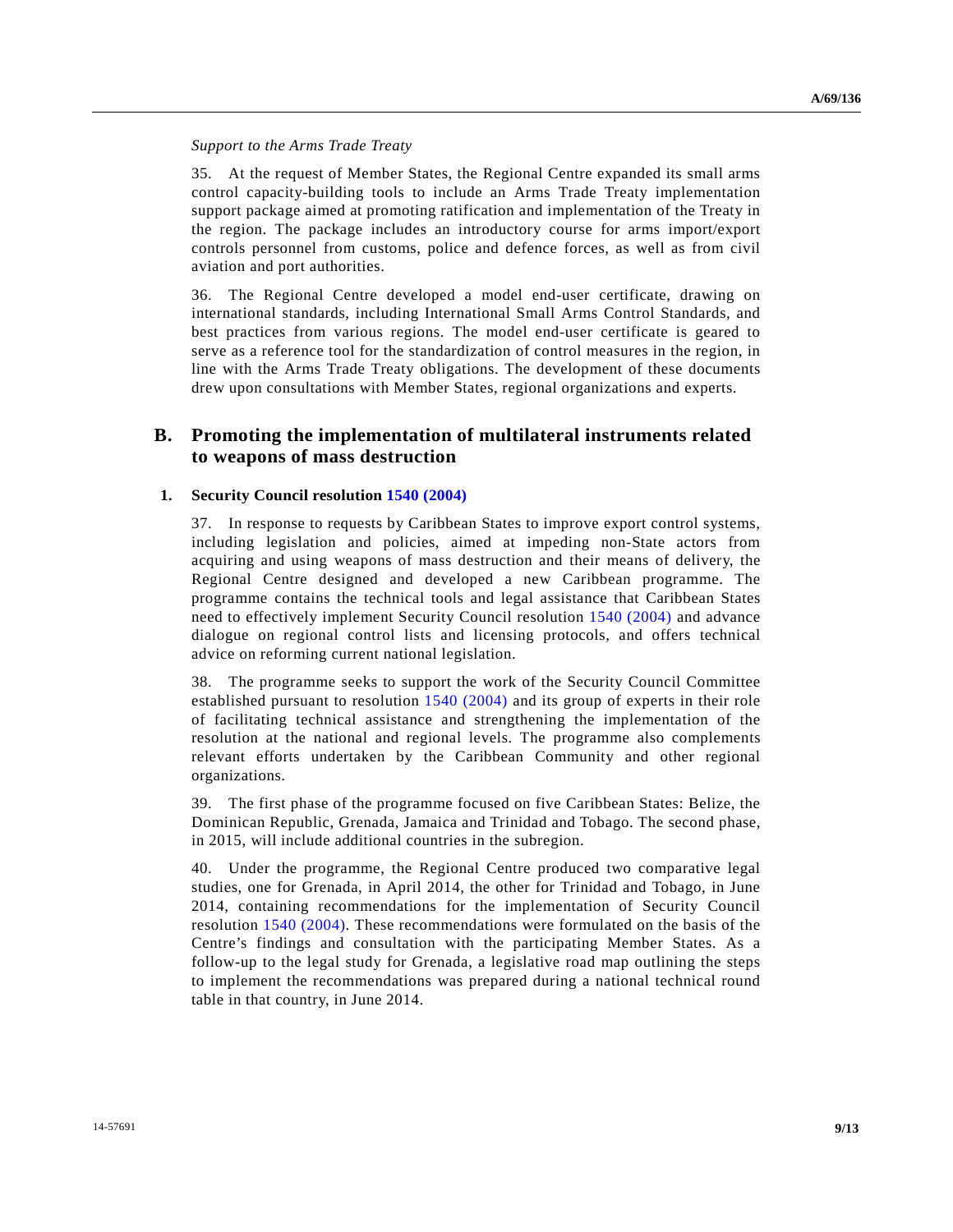### *Support to the Arms Trade Treaty*

35. At the request of Member States, the Regional Centre expanded its small arms control capacity-building tools to include an Arms Trade Treaty implementation support package aimed at promoting ratification and implementation of the Treaty in the region. The package includes an introductory course for arms import/export controls personnel from customs, police and defence forces, as well as from civil aviation and port authorities.

36. The Regional Centre developed a model end-user certificate, drawing on international standards, including International Small Arms Control Standards, and best practices from various regions. The model end-user certificate is geared to serve as a reference tool for the standardization of control measures in the region, in line with the Arms Trade Treaty obligations. The development of these documents drew upon consultations with Member States, regional organizations and experts.

# **B. Promoting the implementation of multilateral instruments related to weapons of mass destruction**

## **1. Security Council resolution [1540 \(2004\)](http://undocs.org/S/RES/1540(2004))**

37. In response to requests by Caribbean States to improve export control systems, including legislation and policies, aimed at impeding non-State actors from acquiring and using weapons of mass destruction and their means of delivery, the Regional Centre designed and developed a new Caribbean programme. The programme contains the technical tools and legal assistance that Caribbean States need to effectively implement Security Council resolution [1540 \(2004\)](http://undocs.org/S/RES/1540(2004)) and advance dialogue on regional control lists and licensing protocols, and offers technical advice on reforming current national legislation.

38. The programme seeks to support the work of the Security Council Committee established pursuant to resolution [1540 \(2004\)](http://undocs.org/S/RES/1540(2004)) and its group of experts in their role of facilitating technical assistance and strengthening the implementation of the resolution at the national and regional levels. The programme also complements relevant efforts undertaken by the Caribbean Community and other regional organizations.

39. The first phase of the programme focused on five Caribbean States: Belize, the Dominican Republic, Grenada, Jamaica and Trinidad and Tobago. The second phase, in 2015, will include additional countries in the subregion.

40. Under the programme, the Regional Centre produced two comparative legal studies, one for Grenada, in April 2014, the other for Trinidad and Tobago, in June 2014, containing recommendations for the implementation of Security Council resolution [1540 \(2004\).](http://undocs.org/S/RES/1540(2004)) These recommendations were formulated on the basis of the Centre's findings and consultation with the participating Member States. As a follow-up to the legal study for Grenada, a legislative road map outlining the steps to implement the recommendations was prepared during a national technical round table in that country, in June 2014.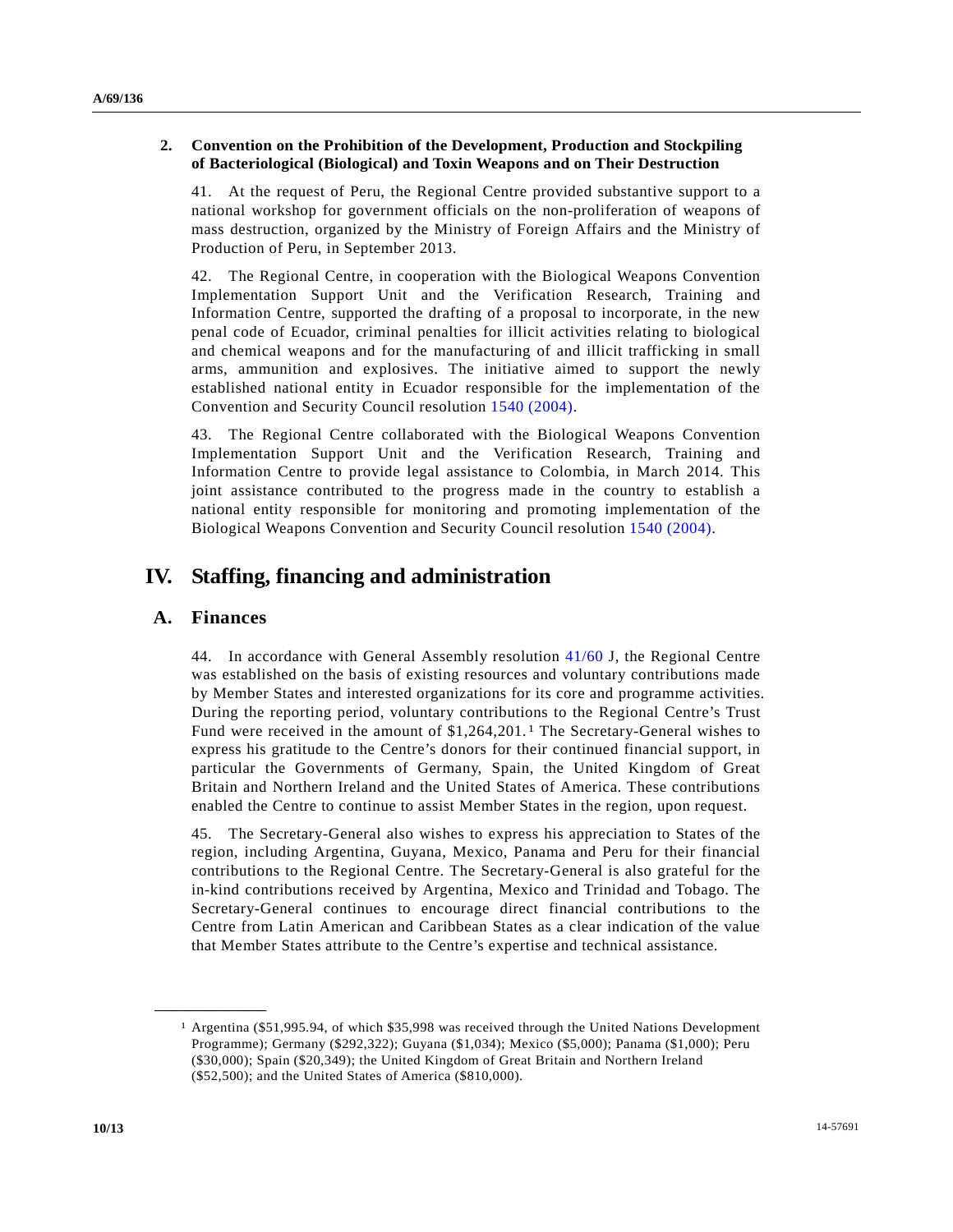## **2. Convention on the Prohibition of the Development, Production and Stockpiling of Bacteriological (Biological) and Toxin Weapons and on Their Destruction**

41. At the request of Peru, the Regional Centre provided substantive support to a national workshop for government officials on the non-proliferation of weapons of mass destruction, organized by the Ministry of Foreign Affairs and the Ministry of Production of Peru, in September 2013.

42. The Regional Centre, in cooperation with the Biological Weapons Convention Implementation Support Unit and the Verification Research, Training and Information Centre, supported the drafting of a proposal to incorporate, in the new penal code of Ecuador, criminal penalties for illicit activities relating to biological and chemical weapons and for the manufacturing of and illicit trafficking in small arms, ammunition and explosives. The initiative aimed to support the newly established national entity in Ecuador responsible for the implementation of the Convention and Security Council resolution [1540 \(2004\).](http://undocs.org/S/RES/1540(2004))

43. The Regional Centre collaborated with the Biological Weapons Convention Implementation Support Unit and the Verification Research, Training and Information Centre to provide legal assistance to Colombia, in March 2014. This joint assistance contributed to the progress made in the country to establish a national entity responsible for monitoring and promoting implementation of the Biological Weapons Convention and Security Council resolution [1540 \(2004\).](http://undocs.org/S/RES/1540(2004))

# **IV. Staffing, financing and administration**

## **A. Finances**

**\_\_\_\_\_\_\_\_\_\_\_\_\_\_\_\_\_\_**

44. In accordance with General Assembly resolution [41/60](http://undocs.org/A/RES/41/60) J, the Regional Centre was established on the basis of existing resources and voluntary contributions made by Member States and interested organizations for its core and programme activities. During the reporting period, voluntary contributions to the Regional Centre's Trust Fund were received in the amount of  $$1,264,201$  $$1,264,201$  $$1,264,201$ .<sup>1</sup> The Secretary-General wishes to express his gratitude to the Centre's donors for their continued financial support, in particular the Governments of Germany, Spain, the United Kingdom of Great Britain and Northern Ireland and the United States of America. These contributions enabled the Centre to continue to assist Member States in the region, upon request.

45. The Secretary-General also wishes to express his appreciation to States of the region, including Argentina, Guyana, Mexico, Panama and Peru for their financial contributions to the Regional Centre. The Secretary-General is also grateful for the in-kind contributions received by Argentina, Mexico and Trinidad and Tobago. The Secretary-General continues to encourage direct financial contributions to the Centre from Latin American and Caribbean States as a clear indication of the value that Member States attribute to the Centre's expertise and technical assistance.

<sup>1</sup> Argentina (\$51,995.94, of which \$35,998 was received through the United Nations Development Programme); Germany (\$292,322); Guyana (\$1,034); Mexico (\$5,000); Panama (\$1,000); Peru (\$30,000); Spain (\$20,349); the United Kingdom of Great Britain and Northern Ireland (\$52,500); and the United States of America (\$810,000).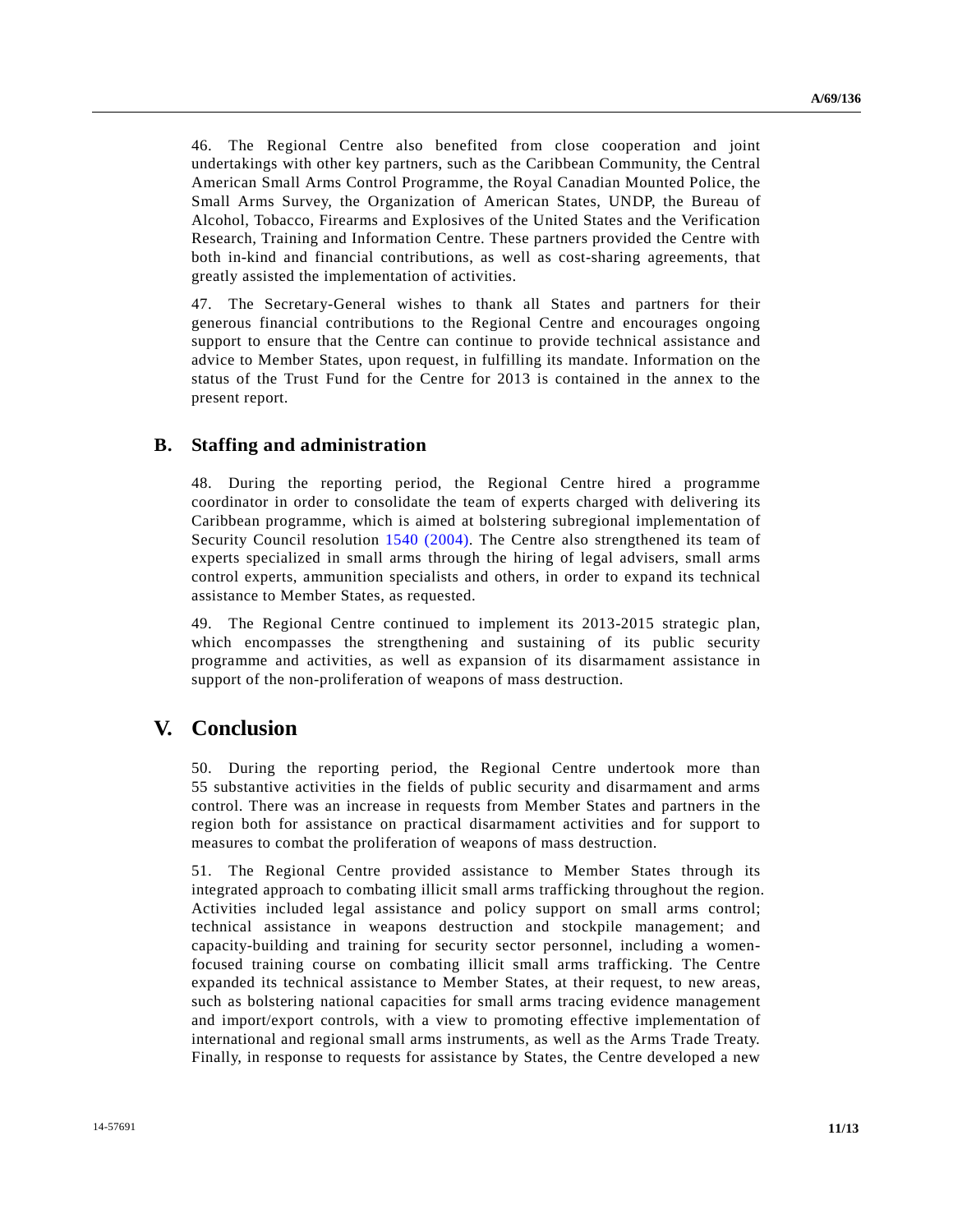46. The Regional Centre also benefited from close cooperation and joint undertakings with other key partners, such as the Caribbean Community, the Central American Small Arms Control Programme, the Royal Canadian Mounted Police, the Small Arms Survey, the Organization of American States, UNDP, the Bureau of Alcohol, Tobacco, Firearms and Explosives of the United States and the Verification Research, Training and Information Centre. These partners provided the Centre with both in-kind and financial contributions, as well as cost-sharing agreements, that greatly assisted the implementation of activities.

47. The Secretary-General wishes to thank all States and partners for their generous financial contributions to the Regional Centre and encourages ongoing support to ensure that the Centre can continue to provide technical assistance and advice to Member States, upon request, in fulfilling its mandate. Information on the status of the Trust Fund for the Centre for 2013 is contained in the annex to the present report.

## **B. Staffing and administration**

48. During the reporting period, the Regional Centre hired a programme coordinator in order to consolidate the team of experts charged with delivering its Caribbean programme, which is aimed at bolstering subregional implementation of Security Council resolution [1540 \(2004\).](http://undocs.org/S/RES/1540(2004)) The Centre also strengthened its team of experts specialized in small arms through the hiring of legal advisers, small arms control experts, ammunition specialists and others, in order to expand its technical assistance to Member States, as requested.

49. The Regional Centre continued to implement its 2013-2015 strategic plan, which encompasses the strengthening and sustaining of its public security programme and activities, as well as expansion of its disarmament assistance in support of the non-proliferation of weapons of mass destruction.

# **V. Conclusion**

50. During the reporting period, the Regional Centre undertook more than 55 substantive activities in the fields of public security and disarmament and arms control. There was an increase in requests from Member States and partners in the region both for assistance on practical disarmament activities and for support to measures to combat the proliferation of weapons of mass destruction.

51. The Regional Centre provided assistance to Member States through its integrated approach to combating illicit small arms trafficking throughout the region. Activities included legal assistance and policy support on small arms control; technical assistance in weapons destruction and stockpile management; and capacity-building and training for security sector personnel, including a womenfocused training course on combating illicit small arms trafficking. The Centre expanded its technical assistance to Member States, at their request, to new areas, such as bolstering national capacities for small arms tracing evidence management and import/export controls, with a view to promoting effective implementation of international and regional small arms instruments, as well as the Arms Trade Treaty. Finally, in response to requests for assistance by States, the Centre developed a new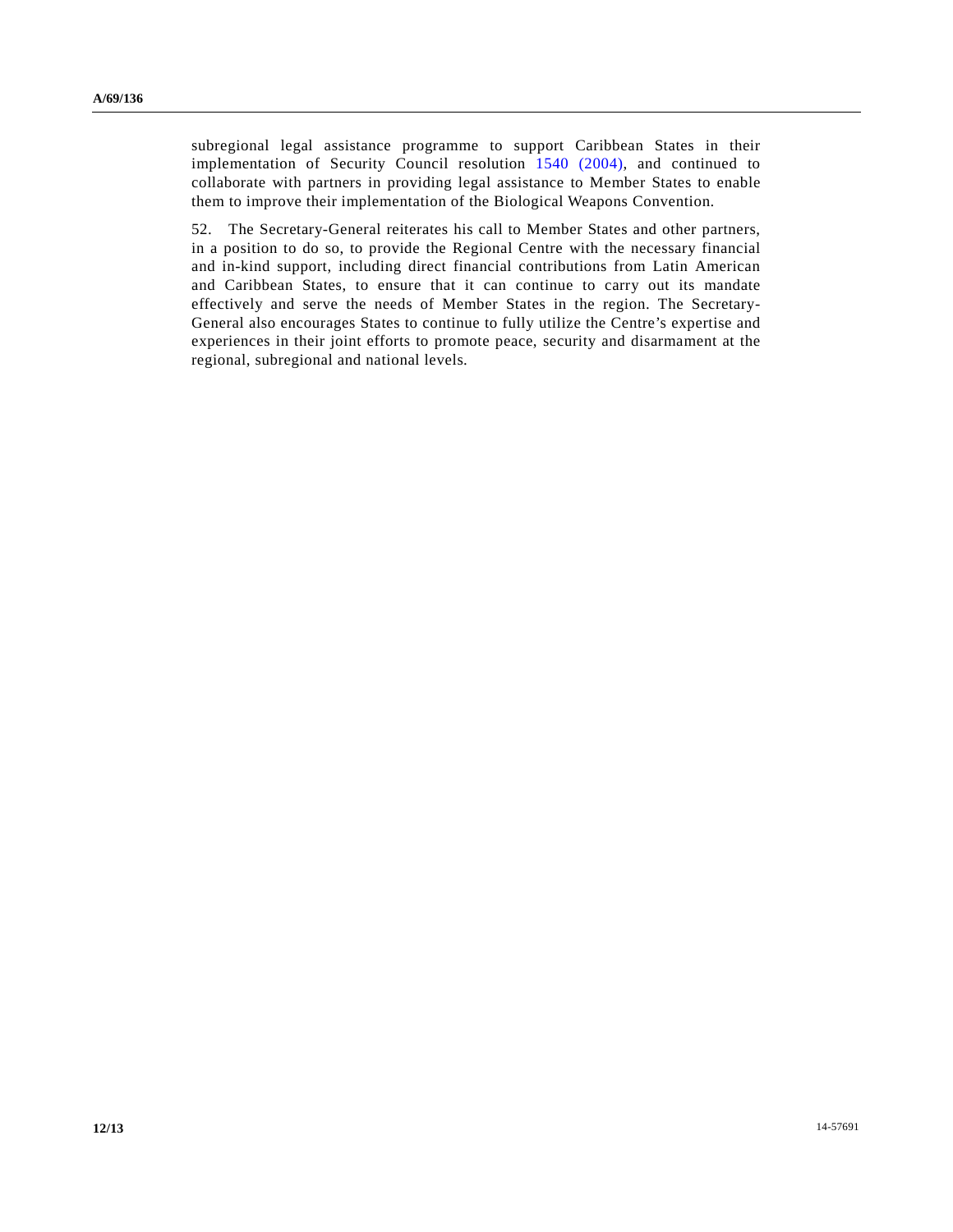subregional legal assistance programme to support Caribbean States in their implementation of Security Council resolution [1540 \(2004\),](http://undocs.org/S/RES/1540(2004)) and continued to collaborate with partners in providing legal assistance to Member States to enable them to improve their implementation of the Biological Weapons Convention.

52. The Secretary-General reiterates his call to Member States and other partners, in a position to do so, to provide the Regional Centre with the necessary financial and in-kind support, including direct financial contributions from Latin American and Caribbean States, to ensure that it can continue to carry out its mandate effectively and serve the needs of Member States in the region. The Secretary-General also encourages States to continue to fully utilize the Centre's expertise and experiences in their joint efforts to promote peace, security and disarmament at the regional, subregional and national levels.